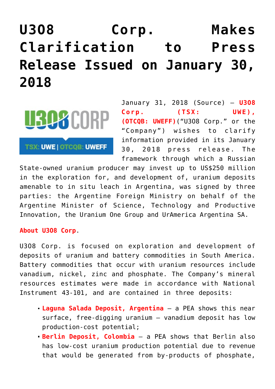## **[U3O8 Corp. Makes](https://investorintel.com/markets/uranium-energy/uranium-energy-news/u3o8-corp-makes-clarification-press-release-issued-january-30-2018/) [Clarification to Press](https://investorintel.com/markets/uranium-energy/uranium-energy-news/u3o8-corp-makes-clarification-press-release-issued-january-30-2018/) [Release Issued on January 30,](https://investorintel.com/markets/uranium-energy/uranium-energy-news/u3o8-corp-makes-clarification-press-release-issued-january-30-2018/) [2018](https://investorintel.com/markets/uranium-energy/uranium-energy-news/u3o8-corp-makes-clarification-press-release-issued-january-30-2018/)**



**TSX: UWE | OTCQB: UWEFF** 

January 31, 2018 ([Source\)](https://investorintel.com/iintel-members/u3o8-corp-2/) — **U3O8 Corp. (TSX: UWE) , (OTCQB: UWEFF)**("U3O8 Corp." or the "Company") wishes to clarify information provided in its January 30, 2018 press release. The framework through which a Russian

State-owned uranium producer may invest up to US\$250 million in the exploration for, and development of, uranium deposits amenable to in situ leach in Argentina, was signed by three parties: the Argentine Foreign Ministry on behalf of the Argentine Minister of Science, Technology and Productive Innovation, the Uranium One Group and UrAmerica Argentina SA.

## **About U3O8 Corp**.

U3O8 Corp. is focused on exploration and development of deposits of uranium and battery commodities in South America. Battery commodities that occur with uranium resources include vanadium, nickel, zinc and phosphate. The Company's mineral resources estimates were made in accordance with National Instrument 43-101, and are contained in three deposits:

- **Laguna Salada Deposit, Argentina** a PEA shows this near surface, free-digging uranium – vanadium deposit has low production-cost potential;
- **Berlin Deposit, Colombia** a PEA shows that Berlin also has low-cost uranium production potential due to revenue that would be generated from by-products of phosphate,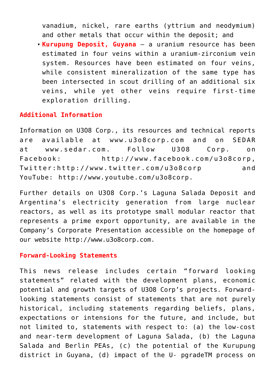vanadium, nickel, rare earths (yttrium and neodymium) and other metals that occur within the deposit; and

**Kurupung Deposit, Guyana** — a uranium resource has been estimated in four veins within a uranium-zirconium vein system. Resources have been estimated on four veins, while consistent mineralization of the same type has been intersected in scout drilling of an additional six veins, while yet other veins require first-time exploration drilling.

## **Additional Information**

Information on U3O8 Corp., its resources and technical reports are available at [www.u3o8corp.com](http://www.u3o8corp.com/) and on SEDAR at [www.sedar.com](https://www.sedar.com/). Follow U3O8 Corp. on Facebook: [http://www.facebook.com/u3o8corp,](https://www.facebook.com/u3o8corp) Twitter:[http://www.twitter.com/u3o8corp](https://twitter.com/u3o8corp) and YouTube: [http://www.youtube.com/u3o8corp.](http://www.youtube.com/u3o8corp)

Further details on U3O8 Corp.'s Laguna Salada Deposit and Argentina's electricity generation from large nuclear reactors, as well as its prototype small modular reactor that represents a prime export opportunity, are available in the Company's Corporate Presentation accessible on the homepage of our website [http://www.u3o8corp.com.](http://www.u3o8corp.com/)

## **Forward-Looking Statements**

This news release includes certain "forward looking statements" related with the development plans, economic potential and growth targets of U3O8 Corp's projects. Forwardlooking statements consist of statements that are not purely historical, including statements regarding beliefs, plans, expectations or intensions for the future, and include, but not limited to, statements with respect to: (a) the low-cost and near-term development of Laguna Salada, (b) the Laguna Salada and Berlin PEAs, (c) the potential of the Kurupung district in Guyana, (d) impact of the U- pgradeTM process on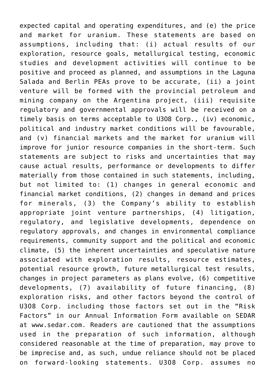expected capital and operating expenditures, and (e) the price and market for uranium. These statements are based on assumptions, including that: (i) actual results of our exploration, resource goals, metallurgical testing, economic studies and development activities will continue to be positive and proceed as planned, and assumptions in the Laguna Salada and Berlin PEAs prove to be accurate, (ii) a joint venture will be formed with the provincial petroleum and mining company on the Argentina project, (iii) requisite regulatory and governmental approvals will be received on a timely basis on terms acceptable to U3O8 Corp., (iv) economic, political and industry market conditions will be favourable, and (v) financial markets and the market for uranium will improve for junior resource companies in the short-term. Such statements are subject to risks and uncertainties that may cause actual results, performance or developments to differ materially from those contained in such statements, including, but not limited to: (1) changes in general economic and financial market conditions, (2) changes in demand and prices for minerals, (3) the Company's ability to establish appropriate joint venture partnerships, (4) litigation, regulatory, and legislative developments, dependence on regulatory approvals, and changes in environmental compliance requirements, community support and the political and economic climate, (5) the inherent uncertainties and speculative nature associated with exploration results, resource estimates, potential resource growth, future metallurgical test results, changes in project parameters as plans evolve, (6) competitive developments, (7) availability of future financing, (8) exploration risks, and other factors beyond the control of U3O8 Corp. including those factors set out in the "Risk Factors" in our Annual Information Form available on SEDAR at [www.sedar.com.](http://www.sedar.com/) Readers are cautioned that the assumptions used in the preparation of such information, although considered reasonable at the time of preparation, may prove to be imprecise and, as such, undue reliance should not be placed on forward-looking statements. U3O8 Corp. assumes no